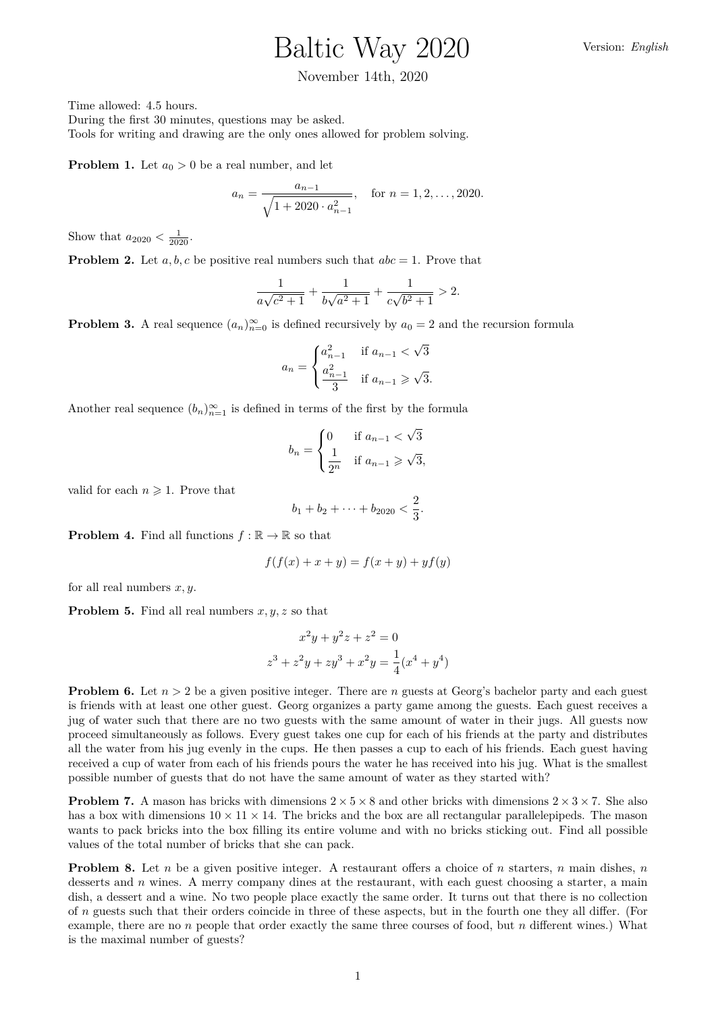## Baltic Way 2020

## November 14th, 2020

Time allowed: 4.5 hours.

During the first 30 minutes, questions may be asked. Tools for writing and drawing are the only ones allowed for problem solving.

**Problem 1.** Let  $a_0 > 0$  be a real number, and let

$$
a_n = \frac{a_{n-1}}{\sqrt{1 + 2020 \cdot a_{n-1}^2}}, \quad \text{for } n = 1, 2, \dots, 2020.
$$

Show that  $a_{2020} < \frac{1}{2020}$ .

**Problem 2.** Let  $a, b, c$  be positive real numbers such that  $abc = 1$ . Prove that

$$
\frac{1}{a\sqrt{c^2+1}}+\frac{1}{b\sqrt{a^2+1}}+\frac{1}{c\sqrt{b^2+1}}>2.
$$

**Problem 3.** A real sequence  $(a_n)_{n=0}^{\infty}$  is defined recursively by  $a_0 = 2$  and the recursion formula

$$
a_n = \begin{cases} a_{n-1}^2 & \text{if } a_{n-1} < \sqrt{3} \\ \frac{a_{n-1}^2}{3} & \text{if } a_{n-1} \ge \sqrt{3}. \end{cases}
$$

Another real sequence  $(b_n)_{n=1}^{\infty}$  is defined in terms of the first by the formula

$$
b_n = \begin{cases} 0 & \text{if } a_{n-1} < \sqrt{3} \\ \frac{1}{2^n} & \text{if } a_{n-1} \ge \sqrt{3}, \end{cases}
$$

valid for each  $n \geqslant 1$ . Prove that

$$
b_1 + b_2 + \cdots + b_{2020} < \frac{2}{3}.
$$

**Problem 4.** Find all functions  $f : \mathbb{R} \to \mathbb{R}$  so that

$$
f(f(x) + x + y) = f(x + y) + yf(y)
$$

for all real numbers *x, y*.

**Problem 5.** Find all real numbers *x, y, z* so that

$$
x^{2}y + y^{2}z + z^{2} = 0
$$
  

$$
z^{3} + z^{2}y + zy^{3} + x^{2}y = \frac{1}{4}(x^{4} + y^{4})
$$

**Problem 6.** Let  $n > 2$  be a given positive integer. There are *n* guests at Georg's bachelor party and each guest is friends with at least one other guest. Georg organizes a party game among the guests. Each guest receives a jug of water such that there are no two guests with the same amount of water in their jugs. All guests now proceed simultaneously as follows. Every guest takes one cup for each of his friends at the party and distributes all the water from his jug evenly in the cups. He then passes a cup to each of his friends. Each guest having received a cup of water from each of his friends pours the water he has received into his jug. What is the smallest possible number of guests that do not have the same amount of water as they started with?

**Problem 7.** A mason has bricks with dimensions  $2 \times 5 \times 8$  and other bricks with dimensions  $2 \times 3 \times 7$ . She also has a box with dimensions  $10 \times 11 \times 14$ . The bricks and the box are all rectangular parallelepipeds. The mason wants to pack bricks into the box filling its entire volume and with no bricks sticking out. Find all possible values of the total number of bricks that she can pack.

**Problem 8.** Let *n* be a given positive integer. A restaurant offers a choice of *n* starters, *n* main dishes, *n* desserts and *n* wines. A merry company dines at the restaurant, with each guest choosing a starter, a main dish, a dessert and a wine. No two people place exactly the same order. It turns out that there is no collection of *n* guests such that their orders coincide in three of these aspects, but in the fourth one they all differ. (For example, there are no *n* people that order exactly the same three courses of food, but *n* different wines.) What is the maximal number of guests?